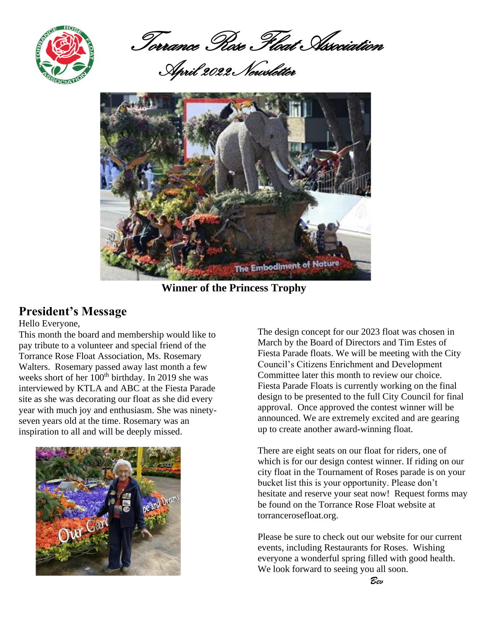

Torrance Rose Float Association

April 2022 Newsletter



**Winner of the Princess Trophy**

### **President's Message**

Hello Everyone,

This month the board and membership would like to pay tribute to a volunteer and special friend of the Torrance Rose Float Association, Ms. Rosemary Walters. Rosemary passed away last month a few weeks short of her 100<sup>th</sup> birthday. In 2019 she was interviewed by KTLA and ABC at the Fiesta Parade site as she was decorating our float as she did every year with much joy and enthusiasm. She was ninetyseven years old at the time. Rosemary was an inspiration to all and will be deeply missed.



The design concept for our 2023 float was chosen in March by the Board of Directors and Tim Estes of Fiesta Parade floats. We will be meeting with the City Council's Citizens Enrichment and Development Committee later this month to review our choice. Fiesta Parade Floats is currently working on the final design to be presented to the full City Council for final approval. Once approved the contest winner will be announced. We are extremely excited and are gearing up to create another award-winning float.

There are eight seats on our float for riders, one of which is for our design contest winner. If riding on our city float in the Tournament of Roses parade is on your bucket list this is your opportunity. Please don't hesitate and reserve your seat now! Request forms may be found on the Torrance Rose Float website at torrancerosefloat.org.

Please be sure to check out our website for our current events, including Restaurants for Roses. Wishing everyone a wonderful spring filled with good health. We look forward to seeing you all soon.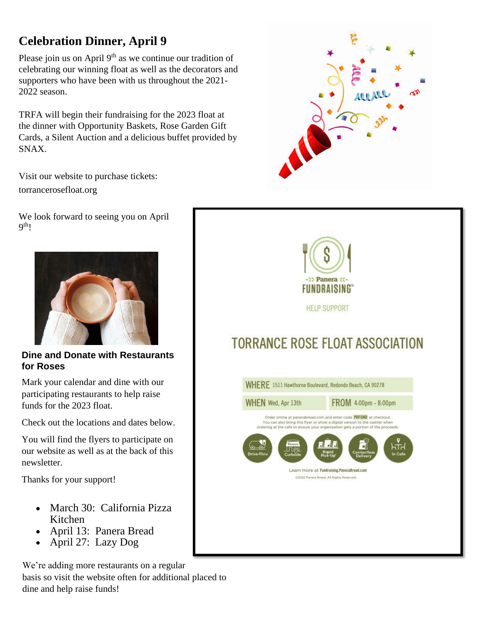## **Celebration Dinner, April 9**

Please join us on April  $9<sup>th</sup>$  as we continue our tradition of celebrating our winning float as well as the decorators and supporters who have been with us throughout the 2021- 2022 season.

TRFA will begin their fundraising for the 2023 float at the dinner with Opportunity Baskets, Rose Garden Gift Cards, a Silent Auction and a delicious buffet provided by SNAX.

Visit our website to purchase tickets: torrancerosefloat.org

We look forward to seeing you on April 9<sup>th</sup>!



#### **Dine and Donate with Restaurants for Roses**

Mark your calendar and dine with our participating restaurants to help raise funds for the 2023 float.

Check out the locations and dates below.

You will find the flyers to participate on our website as well as at the back of this newsletter.

Thanks for your support!

- March 30: California Pizza Kitchen
- April 13: Panera Bread
- April 27: Lazy Dog

We're adding more restaurants on a regular basis so visit the website often for additional placed to dine and help raise funds!





# **TORRANCE ROSE FLOAT ASSOCIATION**

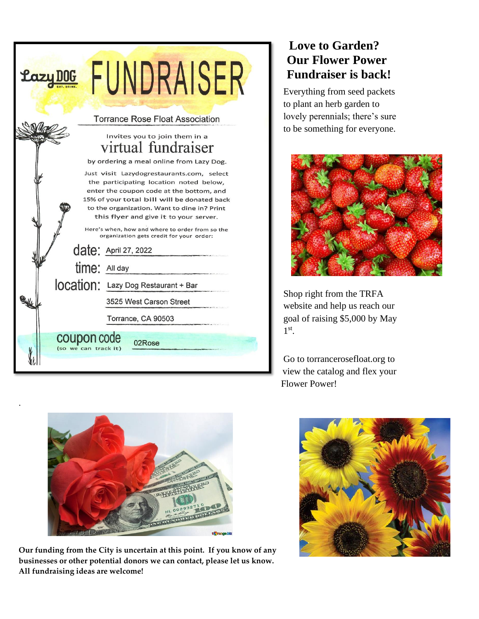

## **Love to Garden? Our Flower Power Fundraiser is back!**

Everything from seed packets to plant an herb garden to lovely perennials; there's sure to be something for everyone.



Shop right from the TRFA website and help us reach our goal of raising \$5,000 by May 1 st .

Go to torrancerosefloat.org to view the catalog and flex your Flower Power!



.

**Our funding from the City is uncertain at this point. If you know of any businesses or other potential donors we can contact, please let us know. All fundraising ideas are welcome!**